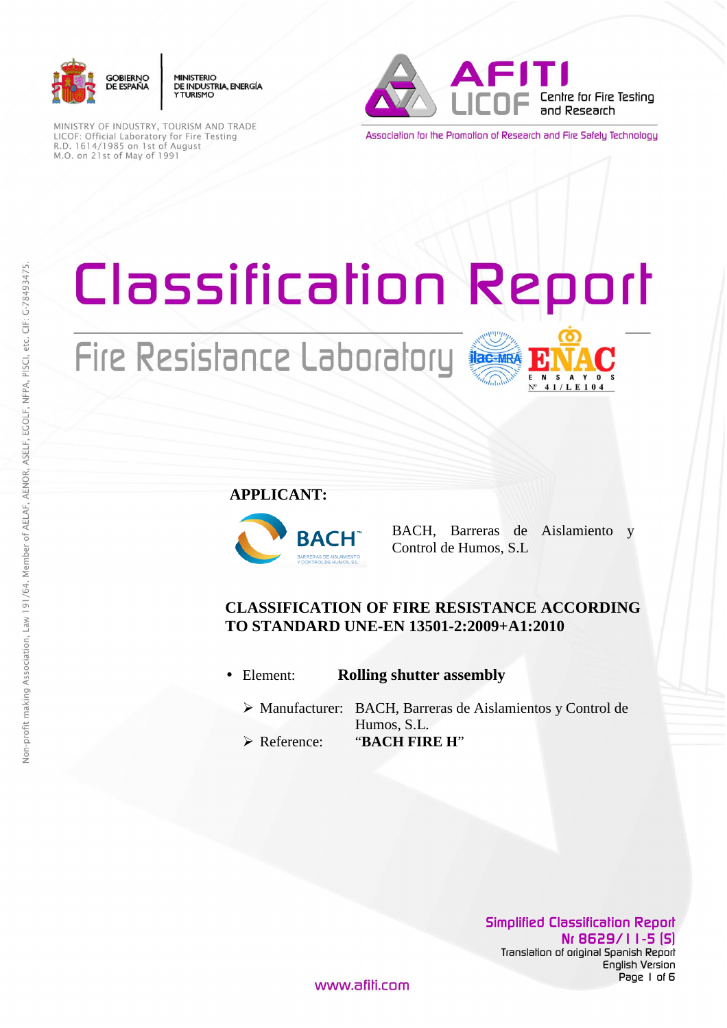

**MINISTERIO** DE INDUSTRIA, ENERGÍA **YTHRISMO** 

MINISTRY OF INDUSTRY, TOURISM AND TRADE LICOF: Official Laboratory for Fire Testing<br>R.D. 1614/1985 on 1st of August M.O. on 21st of May of 1991



Association for the Promotion of Research and Fire Safety Technology

# Classification Report

# Fire Resistance Laboratory



**APPLICANT:**



BACH, Barreras de Aislamiento y Control de Humos, S.L

### **CLASSIFICATION OF FIRE RESISTANCE ACCORDING TO STANDARD UNE-EN 13501-2:2009+A1:2010**

- Element: **Rolling shutter assembly**
	- Manufacturer: BACH, Barreras de Aislamientos y Control de Humos, S.L.
	- Reference: "**BACH FIRE H**"

**Simplified Classification Report Nr 8629/11-5 (S)**  Translation of original Spanish Report English Version Page 1 of 6

www.afili.com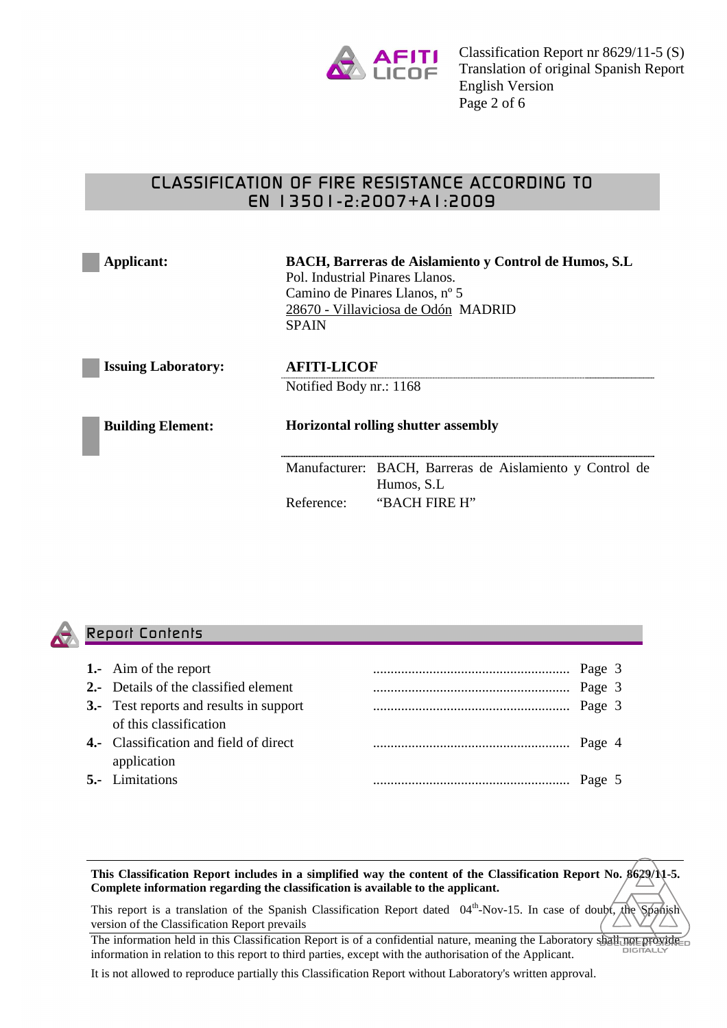

## CLASSIFICATION OF FIRE RESISTANCE ACCORDING TO EN 13501-2:2007+A1:2009

| Applicant:                 | BACH, Barreras de Aislamiento y Control de Humos, S.L.<br>Pol. Industrial Pinares Llanos.<br>Camino de Pinares Llanos, nº 5<br>28670 - Villaviciosa de Odón MADRID<br><b>SPAIN</b> |                                                                         |  |
|----------------------------|------------------------------------------------------------------------------------------------------------------------------------------------------------------------------------|-------------------------------------------------------------------------|--|
| <b>Issuing Laboratory:</b> | <b>AFITI-LICOF</b><br>Notified Body nr.: 1168<br><b>Horizontal rolling shutter assembly</b>                                                                                        |                                                                         |  |
|                            |                                                                                                                                                                                    |                                                                         |  |
| <b>Building Element:</b>   |                                                                                                                                                                                    |                                                                         |  |
|                            |                                                                                                                                                                                    | Manufacturer: BACH, Barreras de Aislamiento y Control de<br>Humos, S.L. |  |
|                            | Reference:                                                                                                                                                                         | "BACH FIRE H"                                                           |  |



#### Report Contents

| <b>1.-</b> Aim of the report                   |  |  |
|------------------------------------------------|--|--|
| <b>2.-</b> Details of the classified element   |  |  |
| <b>3.-</b> Test reports and results in support |  |  |
| of this classification                         |  |  |
| <b>4.</b> Classification and field of direct   |  |  |
| application                                    |  |  |
| <b>5.-</b> Limitations                         |  |  |
|                                                |  |  |

**This Classification Report includes in a simplified way the content of the Classification Report No. 8629/11-5. Complete information regarding the classification is available to the applicant.** 

This report is a translation of the Spanish Classification Report dated 04<sup>th</sup>-Nov-15. In case of doubt, the Spanish version of the Classification Report prevails

The information held in this Classification Report is of a confidential nature, meaning the Laboratory shall not provide information in relation to this report to third parties, except with the authorisation of the Applicant.

It is not allowed to reproduce partially this Classification Report without Laboratory's written approval.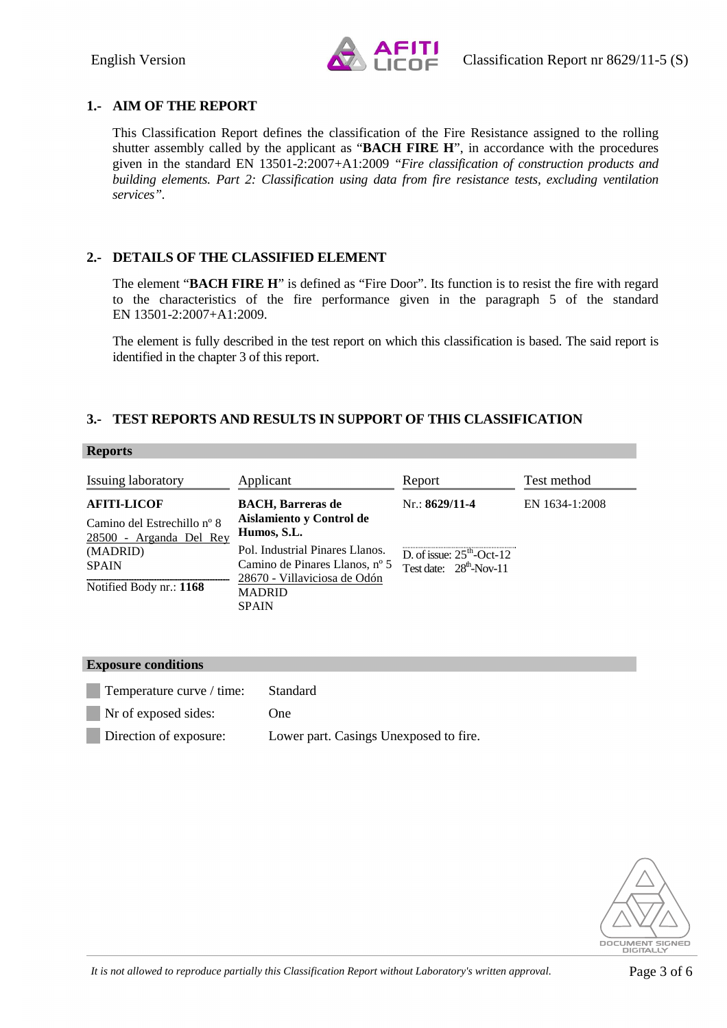

#### **1.- AIM OF THE REPORT**

This Classification Report defines the classification of the Fire Resistance assigned to the rolling shutter assembly called by the applicant as "**BACH FIRE H**", in accordance with the procedures given in the standard EN 13501-2:2007+A1:2009 *"Fire classification of construction products and building elements. Part 2: Classification using data from fire resistance tests, excluding ventilation services".* 

#### **2.- DETAILS OF THE CLASSIFIED ELEMENT**

The element "**BACH FIRE H**" is defined as "Fire Door". Its function is to resist the fire with regard to the characteristics of the fire performance given in the paragraph 5 of the standard EN 13501-2:2007+A1:2009.

The element is fully described in the test report on which this classification is based. The said report is identified in the chapter 3 of this report.

#### **3.- TEST REPORTS AND RESULTS IN SUPPORT OF THIS CLASSIFICATION**

#### **Reports**

| Issuing laboratory                                                           | Applicant                                                                                                                          | Report                                                   | Test method    |
|------------------------------------------------------------------------------|------------------------------------------------------------------------------------------------------------------------------------|----------------------------------------------------------|----------------|
| <b>AFITI-LICOF</b><br>Camino del Estrechillo nº 8<br>28500 - Arganda Del Rey | <b>BACH</b> , Barreras de<br>Aislamiento y Control de<br>Humos, S.L.                                                               | $Nr$ : 8629/11-4                                         | EN 1634-1:2008 |
| (MADRID)<br><b>SPAIN</b><br>Notified Body nr.: 1168                          | Pol. Industrial Pinares Llanos.<br>Camino de Pinares Llanos, nº 5<br>28670 - Villaviciosa de Odón<br><b>MADRID</b><br><b>SPAIN</b> | D. of issue: $25th$ -Oct-12<br>Test date: $28th$ -Nov-11 |                |

| <b>Exposure conditions</b> |                                        |  |  |  |
|----------------------------|----------------------------------------|--|--|--|
| Temperature curve / time:  | <b>Standard</b>                        |  |  |  |
| Nr of exposed sides:       | One)                                   |  |  |  |
| Direction of exposure:     | Lower part. Casings Unexposed to fire. |  |  |  |
|                            |                                        |  |  |  |

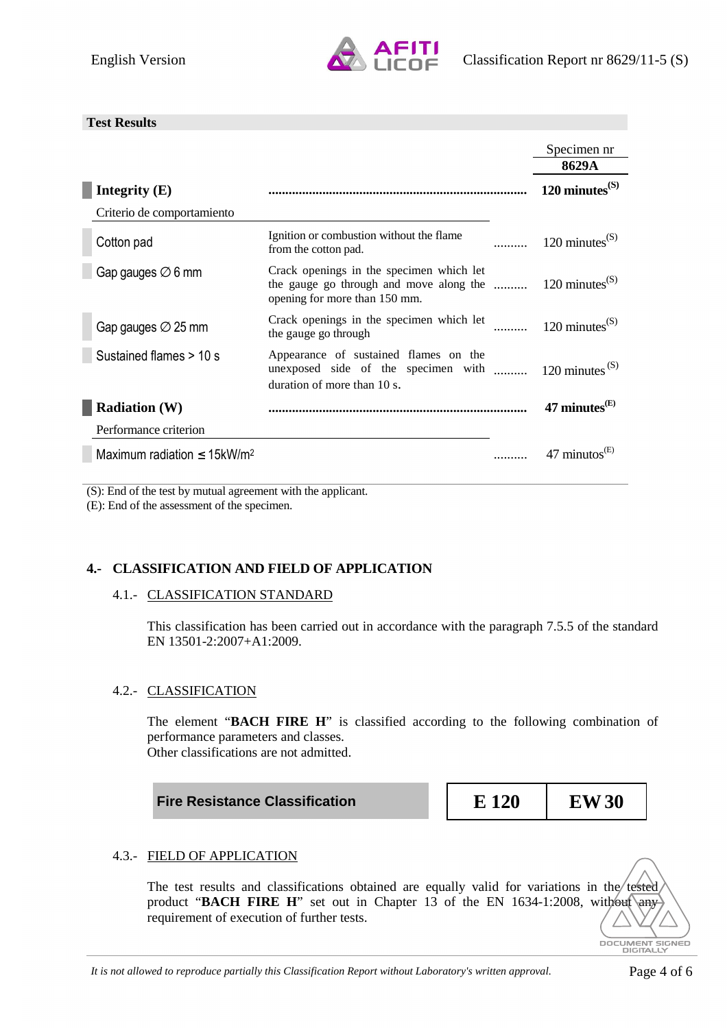

#### **Test Results**

|                                              |                                                                                                                                                  | Specimen nr<br>8629A        |
|----------------------------------------------|--------------------------------------------------------------------------------------------------------------------------------------------------|-----------------------------|
| Integrity (E)                                |                                                                                                                                                  | $120 \text{ minutes}^{(S)}$ |
| Criterio de comportamiento                   |                                                                                                                                                  |                             |
| Cotton pad                                   | Ignition or combustion without the flame<br>from the cotton pad.                                                                                 | 120 minutes $^{(S)}$        |
| Gap gauges $\varnothing$ 6 mm                | Crack openings in the specimen which let<br>the gauge go through and move along the $120 \text{ minutes}^{(S)}$<br>opening for more than 150 mm. |                             |
| Gap gauges $\varnothing$ 25 mm               | Crack openings in the specimen which let<br>the gauge go through                                                                                 | 120 minutes $^{(S)}$        |
| Sustained flames > 10 s                      | Appearance of sustained flames on the<br>unexposed side of the specimen with $120 \text{ minutes}^{(S)}$<br>duration of more than 10 s.          |                             |
| <b>Radiation (W)</b>                         |                                                                                                                                                  | 47 minutes ${}^{(E)}$       |
| Performance criterion                        |                                                                                                                                                  |                             |
| Maximum radiation $\leq$ 15kW/m <sup>2</sup> |                                                                                                                                                  | 47 minutos                  |

(S): End of the test by mutual agreement with the applicant.

(E): End of the assessment of the specimen.

#### **4.- CLASSIFICATION AND FIELD OF APPLICATION**

#### 4.1.- CLASSIFICATION STANDARD

This classification has been carried out in accordance with the paragraph 7.5.5 of the standard EN 13501-2:2007+A1:2009.

#### 4.2.- CLASSIFICATION

The element "**BACH FIRE H**" is classified according to the following combination of performance parameters and classes. Other classifications are not admitted.

**Fire Resistance Classification EXALLE 120 EW30** 

#### 4.3.- FIELD OF APPLICATION

The test results and classifications obtained are equally valid for variations in the tested product "**BACH FIRE H**" set out in Chapter 13 of the EN 1634-1:2008, without any requirement of execution of further tests.

DOCUMENT SIGNED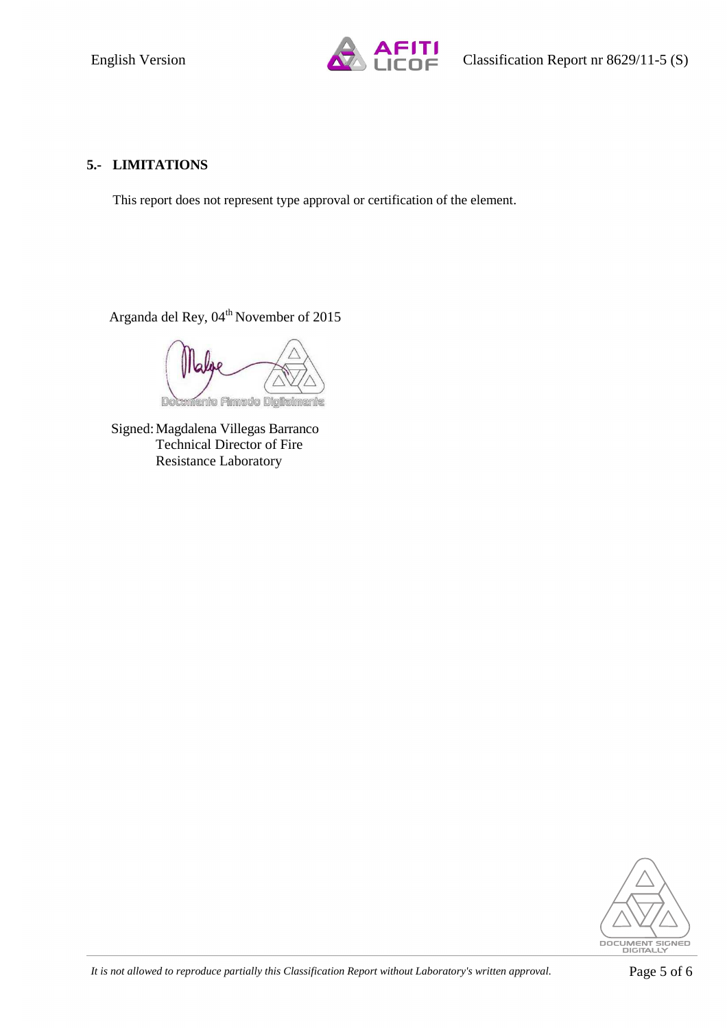

#### **5.- LIMITATIONS**

This report does not represent type approval or certification of the element.

Arganda del Rey, 04<sup>th</sup> November of 2015

iento Firmado Dioitalmente

Signed: Magdalena Villegas Barranco Technical Director of Fire Resistance Laboratory